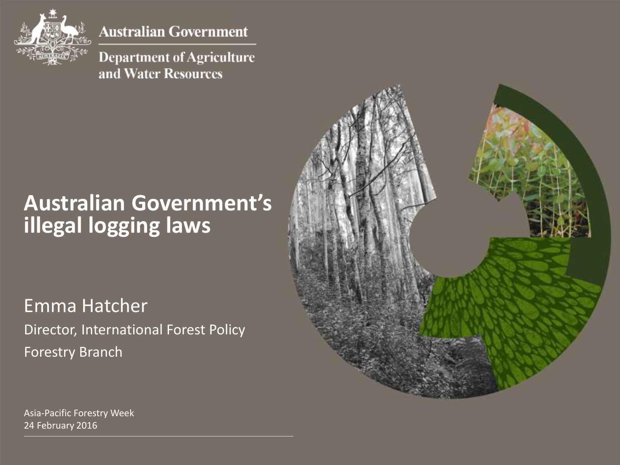

**Australian Government** 

**Department of Agriculture** and Water Resources

#### **Australian Government's illegal logging laws**

Emma Hatcher Director, International Forest Policy Forestry Branch



Asia-Pacific Forestry Week 24 February 2016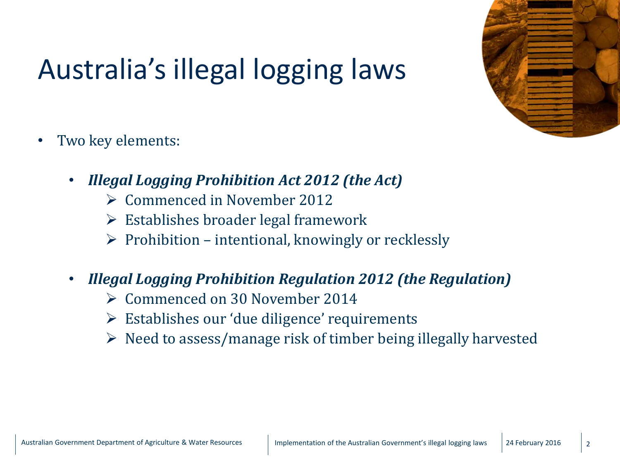

## Australia's illegal logging laws

- Two key elements:
	- *Illegal Logging Prohibition Act 2012 (the Act)*
		- Commenced in November 2012
		- $\triangleright$  Establishes broader legal framework
		- $\triangleright$  Prohibition intentional, knowingly or recklessly
	- *Illegal Logging Prohibition Regulation 2012 (the Regulation)*
		- Commenced on 30 November 2014
		- Establishes our 'due diligence' requirements
		- $\triangleright$  Need to assess/manage risk of timber being illegally harvested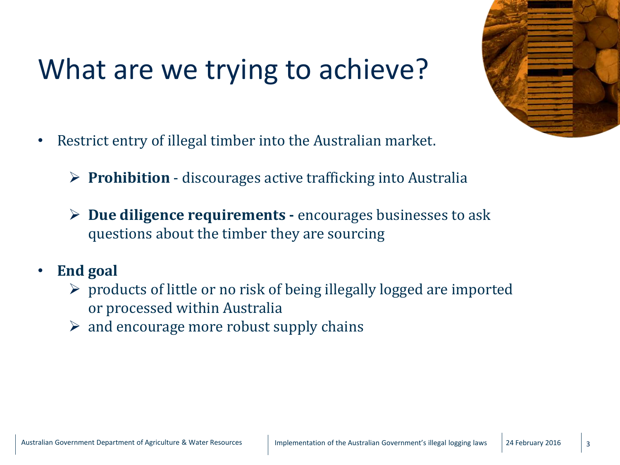#### What are we trying to achieve?



- Restrict entry of illegal timber into the Australian market.
	- **Prohibition**  discourages active trafficking into Australia
	- **Due diligence requirements -** encourages businesses to ask questions about the timber they are sourcing

#### • **End goal**

- $\triangleright$  products of little or no risk of being illegally logged are imported or processed within Australia
- $\triangleright$  and encourage more robust supply chains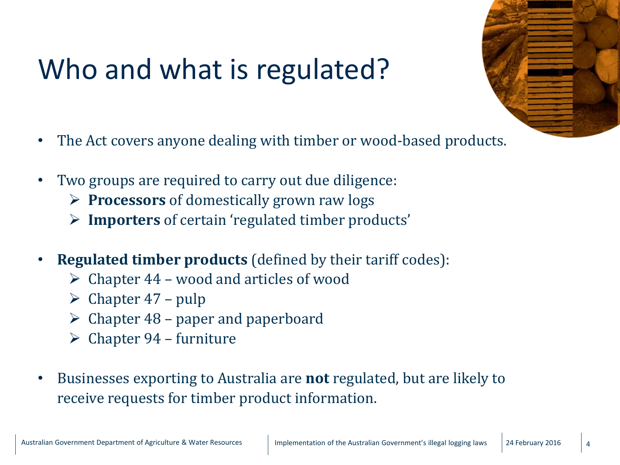#### Who and what is regulated?

- 
- The Act covers anyone dealing with timber or wood-based products.
- Two groups are required to carry out due diligence:
	- **Processors** of domestically grown raw logs
	- **Importers** of certain 'regulated timber products'
- **Regulated timber products** (defined by their tariff codes):
	- $\triangleright$  Chapter 44 wood and articles of wood
	- $\triangleright$  Chapter 47 pulp
	- $\triangleright$  Chapter 48 paper and paperboard
	- $\triangleright$  Chapter 94 furniture
- Businesses exporting to Australia are **not** regulated, but are likely to receive requests for timber product information.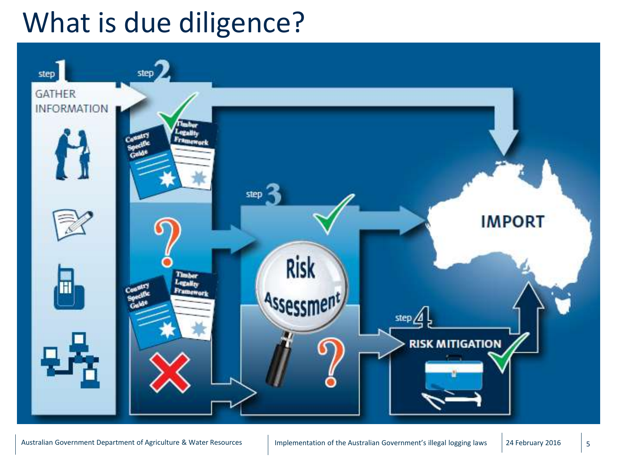#### What is due diligence?